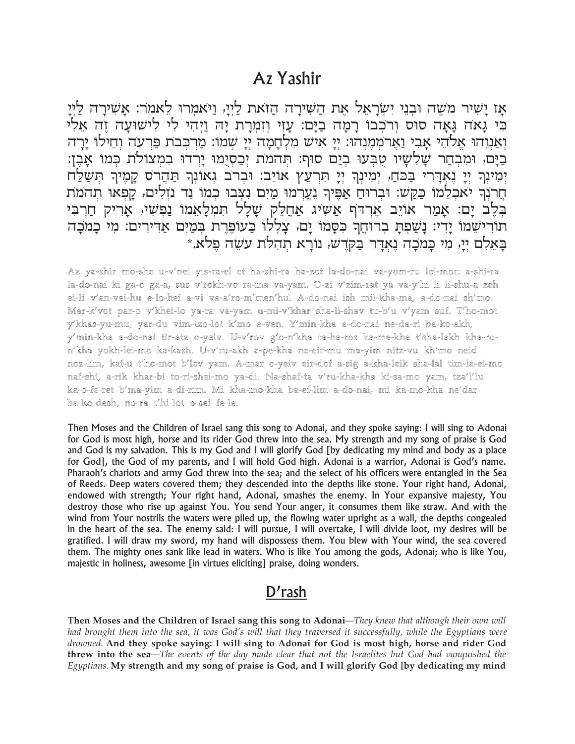## Az Yashir

אַז יַשִׁיר מֹשֶׁה וּבְנֵי יִשְׂרָאֵל אֶת הַשִּׁירַה הַזֹּאת לַיְיַ, וַיֹּאמִרוּ לֵאמֹר: אַשִׁירַה לַיִּיַ כִּי גָאה גָּאָה סוּס וְרכְבוּ רָמָה בַיָּם: עָזִי וְזִמְרָת יָה וַיִּהִי לִי לִישׁוּעַה זֵה אַלִי וְאַנְוֵהוּ אֱלֹהֵי אָבִי וַאֲרֹמְמֶנְהוּ: יְיָ אִיש מִלְחָמָה יְיָ שְמוֹ: מַרְכְּבֹת פַּרְעֹה וְחֵילוֹ יָרָה בַיָּם, וּמִבְחַר שָׁלִשָׁיו טֻבְּעוּ בְיַם סוּף: תְהמת יְכַסְיָמוּ יָרִדוּ בִמִצוֹלֹת כִּמוֹ אָבֵן: יִמְינְךָ יִיָ נֵאָדֶרִי בַּבֹחַ, יִמְינְךָ יִיָ חִרְעַץ אוֹיֵב: וּבְרֹב גִאוּנְךָ חַהֲרֹס קָמֶיךָ חִשַׁלַּח חֵרנִךְ יאכְלֵמוֹ כַּקַשׁ: וּבְרוּחַ אַפֵּיךְ נֵעֲרְמוּ מַיִם נִצְבוּ כְמוֹ נֵד נזִלִים, קַפְאוּ תְהמת בְּלֶב יָם: אָמַר אוֹיֵב אֶרְדֹף אַשִיג אַחֲלֵק שָׁלָל תִמְלָאֵמו נַפְשִי, אָרִיק חַרְבִּי תורישמו ידי: נשפת ברוחה כסמו ים, צללו כעופרת במים אדירים: מי כמכה בְאֵלְם יִיָּ, מִי כָּמִכָה נֵאִדָּר בַּקְדֵשׁ, נוֹרָא תִהְלֹת עַשָׂה פֵלֹא.\*

Az ya-shir mo-she u-v'nei yis-ra-el et ha-shi-ra ha-zot la-do-nai va-yom-ru lei-mor: a-shi-ra la-do-nai ki ga-o ga-a, sus v'rokh-vo ra-ma va-yam. O-zi v'zim-rat ya va-y'hi li li-shu-a zeh ei-li v'an-vei-hu e-lo-hei a-vi va-a'ro-m'men'hu. A-do-nai ish mil-kha-ma, a-do-nai sh'mo. Mar-k'vot par-o v'khei-lo ya-ra va-yam u-mi-v'khar sha-li-shav tu-b'u v'yam suf. T'ho-mot y'khas-yu-mu, yar-du vim-tzo-lot k'mo a-ven. Y'min-kha a-do-nai ne-da-ri ba-ko-akh, y'min-kha a-do-nai tir-atz o-yeiv. U-v'rov g'o-n'kha ta-ha-ros ka-me-kha t'sha-lakh kha-ron'kha yokh-lei-mo ka-kash. U-v'ru-akh a-pe-kha ne-eir-mu ma-yim nitz-vu kh'mo neid noz-lim, kaf-u t'ho-mot b'lev yam. A-mar o-yeiv eir-dof a-sig a-kha-leik sha-lal tim-la-ei-mo naf-shi, a-rik khar-bi to-ri-shei-mo ya-di. Na-shaf-ta v'ru-kha-kha ki-sa-mo yam, tza'l'lu ka-o-fe-ret b'ma-yim a-di-rim. Mi kha-mo-kha ba-ei-lim a-do-nai, mi ka-mo-kha ne'dar ba-ko-desh, no-ra t'hi-lot o-sei fe-le.

Then Moses and the Children of Israel sang this song to Adonai, and they spoke saying: I will sing to Adonai for God is most high, horse and its rider God threw into the sea. My strength and my song of praise is God and God is my salvation. This is my God and I will glorify God [by dedicating my mind and body as a place for God], the God of my parents, and I will hold God high. Adonai is a warrior, Adonai is God's name. Pharaoh's chariots and army God threw into the sea; and the select of his officers were entangled in the Sea of Reeds. Deep waters covered them; they descended into the depths like stone. Your right hand, Adonai, endowed with strength; Your right hand, Adonai, smashes the enemy. In Your expansive majesty, You destroy those who rise up against You. You send Your anger, it consumes them like straw. And with the wind from Your nostrils the waters were piled up, the flowing water upright as a wall, the depths congealed in the heart of the sea. The enemy said: I will pursue, I will overtake, I will divide loot, my desires will be gratified. I will draw my sword, my hand will dispossess them. You blew with Your wind, the sea covered them. The mighty ones sank like lead in waters. Who is like You among the gods, Adonai; who is like You, majestic in holiness, awesome [in virtues eliciting] praise, doing wonders.

## D'rash

Then Moses and the Children of Israel sang this song to Adonai—They knew that although their own will had brought them into the sea, it was God's will that they traversed it successfully, while the Egyptians were drowned. And they spoke saying: I will sing to Adonai for God is most high, horse and rider God **threw into the sea—**The events of the day made clear that not the Israelites but God had vanguished the Egyptians. My strength and my song of praise is God, and I will glorify God [by dedicating my mind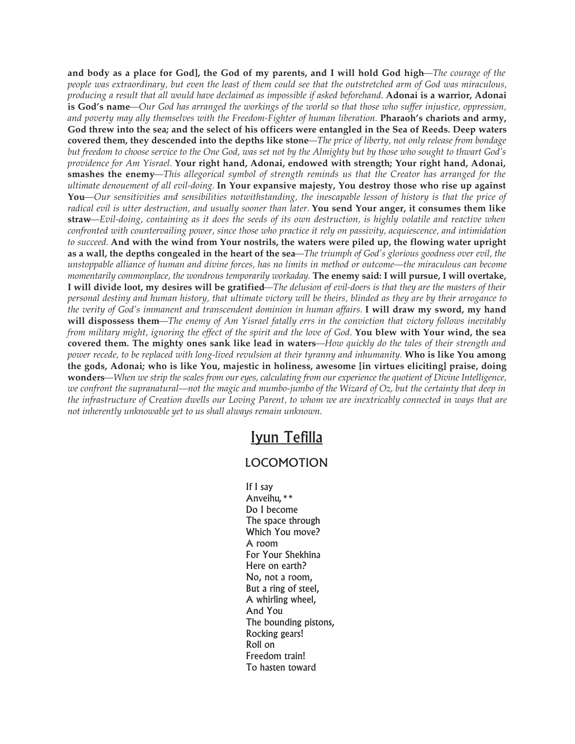and body as a place for God], the God of my parents, and I will hold God high—The courage of the people was extraordinary, but even the least of them could see that the outstretched arm of God was miraculous, producing a result that all would have declaimed as impossible if asked beforehand. Adonai is a warrior, Adonai is God's name—Our God has arranged the workings of the world so that those who suffer injustice, oppression, *and poverty may ally themselves with the Freedom-Fighter of human liberation.* **Pharaoh's chariots and army,** God threw into the sea; and the select of his officers were entangled in the Sea of Reeds. Deep waters covered them, they descended into the depths like stone—The price of liberty, not only release from bondage but freedom to choose service to the One God, was set not by the Almighty but by those who sought to thwart God's *providence for Am Yisrael.* **Your right hand, Adonai, endowed with strength; Your right hand, Adonai, smashes the enemy***—This allegorical symbol of strength reminds us that the Creator has arranged for the ultimate denouement of all evil-doing.* **In Your expansive majesty, You destroy those who rise up against You***—Our sensitivities and sensibilities notwithstanding, the inescapable lesson of history is that the price of* radical evil is utter destruction, and usually sooner than later. You send Your anger, it consumes them like straw—Evil-doing, containing as it does the seeds of its own destruction, is highly volatile and reactive when *confronted with countervailing power, since those who practice it rely on passivity, acquiescence, and intimidation* to succeed. And with the wind from Your nostrils, the waters were piled up, the flowing water upright as a wall, the depths congealed in the heart of the sea—The triumph of God's glorious goodness over evil, the unstoppable alliance of human and divine forces, has no limits in method or outcome—the miraculous can become *momentarily commonplace, the wondrous temporarily workaday.* **The enemy said: I will pursue, I will overtake,** I will divide loot, my desires will be gratified-The delusion of evil-doers is that they are the masters of their personal destiny and human history, that ultimate victory will be theirs, blinded as they are by their arrogance to the verity of God's immanent and transcendent dominion in human affairs. I will draw my sword, my hand will dispossess them—The enemy of Am Yisrael fatally errs in the conviction that victory follows inevitably from military might, ignoring the effect of the spirit and the love of God. You blew with Your wind, the sea covered them. The mighty ones sank like lead in waters—How quickly do the tales of their strength and power recede, to be replaced with long-lived revulsion at their tyranny and inhumanity. Who is like You among **the gods, Adonai; who is like You, majestic in holiness, awesome [in virtues eliciting] praise, doing** wonders—When we strip the scales from our eyes, calculating from our experience the quotient of Divine Intelligence, we confront the supranatural—not the magic and mumbo-jumbo of the Wizard of  $Oz$ , but the certainty that deep in the infrastructure of Creation dwells our Loving Parent, to whom we are inextricably connected in ways that are *not inherently unknowable yet to us shall always remain unknown.*

## Iyun Tefilla

## LOCOMOTION

If I say Anveihu,\*\* Do I become The space through Which You move? A room For Your Shekhina Here on earth? No, not a room, But a ring of steel, A whirling wheel, And You The bounding pistons, Rocking gears! Roll on Freedom train! To hasten toward